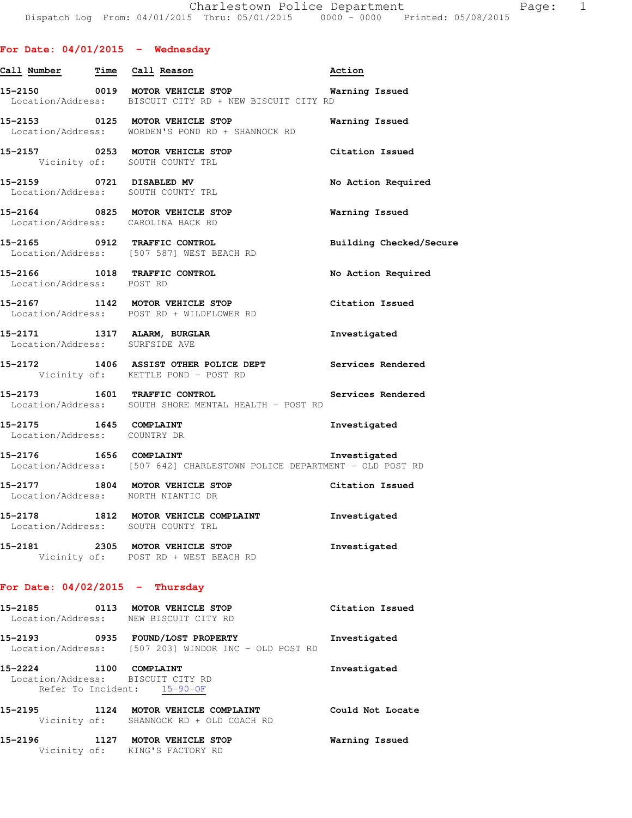# **For Date: 04/01/2015 - Wednesday**

| Call Number Time Call Reason   |                                                                                                             | Action                  |
|--------------------------------|-------------------------------------------------------------------------------------------------------------|-------------------------|
|                                | 15-2150 0019 MOTOR VEHICLE STOP 6 Warning Issued<br>Location/Address: BISCUIT CITY RD + NEW BISCUIT CITY RD |                         |
|                                | 15-2153 0125 MOTOR VEHICLE STOP<br>Location/Address: WORDEN'S POND RD + SHANNOCK RD                         | Warning Issued          |
|                                | 15-2157 0253 MOTOR VEHICLE STOP<br>Vicinity of: SOUTH COUNTY TRL                                            | Citation Issued         |
|                                | 15-2159 0721 DISABLED MV<br>Location/Address: SOUTH COUNTY TRL                                              | No Action Required      |
|                                | 15-2164 0825 MOTOR VEHICLE STOP<br>Location/Address: CAROLINA BACK RD                                       | <b>Warning Issued</b>   |
|                                | 15-2165 0912 TRAFFIC CONTROL<br>Location/Address: [507 587] WEST BEACH RD                                   | Building Checked/Secure |
| Location/Address: POST RD      | 15-2166 1018 TRAFFIC CONTROL                                                                                | No Action Required      |
|                                | 15-2167 1142 MOTOR VEHICLE STOP<br>Location/Address: POST RD + WILDFLOWER RD                                | Citation Issued         |
| Location/Address: SURFSIDE AVE | 15-2171 1317 ALARM, BURGLAR                                                                                 | Investigated            |
|                                | 15-2172 1406 ASSIST OTHER POLICE DEPT Services Rendered<br>Vicinity of: KETTLE POND - POST RD               |                         |
|                                | 15-2173 1601 TRAFFIC CONTROL<br>Location/Address: SOUTH SHORE MENTAL HEALTH - POST RD                       | Services Rendered       |
| Location/Address: COUNTRY DR   | 15-2175 1645 COMPLAINT                                                                                      | Investigated            |
| 15-2176 1656 COMPLAINT         | Location/Address: [507 642] CHARLESTOWN POLICE DEPARTMENT - OLD POST RD                                     | Investigated            |
|                                | 15-2177 1804 MOTOR VEHICLE STOP Citation Issued<br>Location/Address: NORTH NIANTIC DR                       |                         |
|                                | 15-2178 1812 MOTOR VEHICLE COMPLAINT 1nvestigated<br>Location/Address: SOUTH COUNTY TRL                     |                         |
|                                | 15-2181 2305 MOTOR VEHICLE STOP<br>Vicinity of: POST RD + WEST BEACH RD                                     | Investigated            |
|                                | For Date: $04/02/2015$ - Thursday                                                                           |                         |
|                                | 15-2185 0113 MOTOR VEHICLE STOP<br>Location/Address: NEW BISCUIT CITY RD                                    | Citation Issued         |
|                                | 15-2193 0935 FOUND/LOST PROPERTY<br>Location/Address: [507 203] WINDOR INC - OLD POST RD                    | Investigated            |
| 15-2224 1100 COMPLAINT         | Location/Address: BISCUIT CITY RD<br>Refer To Incident: 15-90-OF                                            | Investigated            |
|                                | 15-2195 1124 MOTOR VEHICLE COMPLAINT<br>Vicinity of: SHANNOCK RD + OLD COACH RD                             | Could Not Locate        |
|                                | 15-2196 1127 MOTOR VEHICLE STOP<br>Vicinity of: KING'S FACTORY RD                                           | Warning Issued          |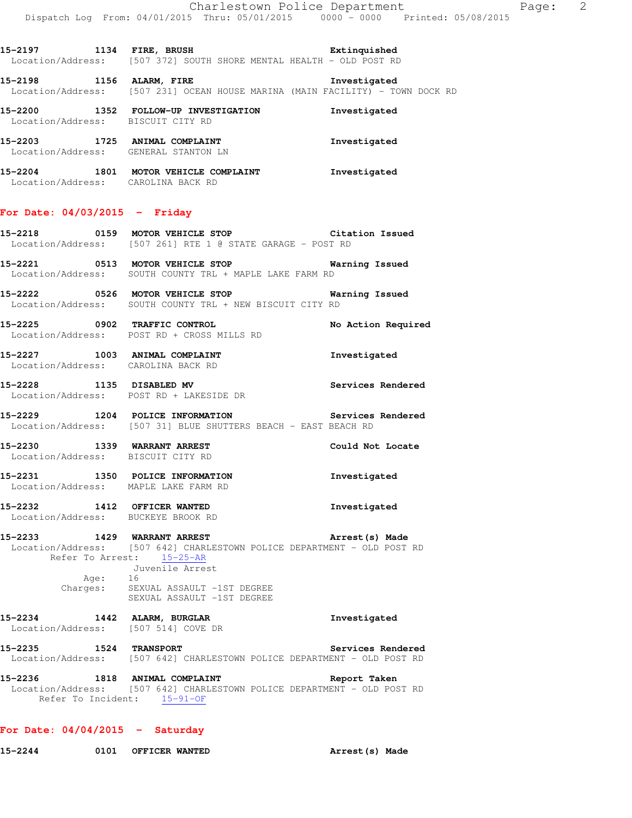**15-2198 1156 ALARM, FIRE Investigated**  Location/Address: [507 231] OCEAN HOUSE MARINA (MAIN FACILITY) - TOWN DOCK RD

**15-2200 1352 FOLLOW-UP INVESTIGATION Investigated**  Location/Address: BISCUIT CITY RD **15-2203 1725 ANIMAL COMPLAINT Investigated**  Location/Address: GENERAL STANTON LN **15-2204 1801 MOTOR VEHICLE COMPLAINT Investigated** 

Location/Address: CAROLINA BACK RD

## **For Date: 04/03/2015 - Friday**

- **15-2218 0159 MOTOR VEHICLE STOP Citation Issued**  Location/Address: [507 261] RTE 1 @ STATE GARAGE - POST RD
- **15-2221 0513 MOTOR VEHICLE STOP Warning Issued**  Location/Address: SOUTH COUNTY TRL + MAPLE LAKE FARM RD
- **15-2222 0526 MOTOR VEHICLE STOP Warning Issued**  Location/Address: SOUTH COUNTY TRL + NEW BISCUIT CITY RD
- **15-2225 0902 TRAFFIC CONTROL No Action Required**  Location/Address: POST RD + CROSS MILLS RD
- **15-2227 1003 ANIMAL COMPLAINT Investigated**  Location/Address: CAROLINA BACK RD
- **15-2228 1135 DISABLED MV Services Rendered**  Location/Address: POST RD + LAKESIDE DR
- **15-2229 1204 POLICE INFORMATION Services Rendered**  Location/Address: [507 31] BLUE SHUTTERS BEACH - EAST BEACH RD
- **15-2230 1339 WARRANT ARREST Could Not Locate**  Location/Address: BISCUIT CITY RD
- **15-2231 1350 POLICE INFORMATION Investigated**  Location/Address: MAPLE LAKE FARM RD
- **15-2232 1412 OFFICER WANTED Investigated**  Location/Address: BUCKEYE BROOK RD
- **15-2233 1429 WARRANT ARREST Arrest(s) Made**  Location/Address: [507 642] CHARLESTOWN POLICE DEPARTMENT - OLD POST RD Refer To Arrest: 15-25-AR Juvenile Arrest Age: 16 Charges: SEXUAL ASSAULT -1ST DEGREE
- SEXUAL ASSAULT -1ST DEGREE **15-2234 1442 ALARM, BURGLAR Investigated**  Location/Address: [507 514] COVE DR
- **15-2235 1524 TRANSPORT Services Rendered**  Location/Address: [507 642] CHARLESTOWN POLICE DEPARTMENT - OLD POST RD
- **15-2236 1818 ANIMAL COMPLAINT Report Taken**  Location/Address: [507 642] CHARLESTOWN POLICE DEPARTMENT - OLD POST RD Refer To Incident: 15-91-OF

#### **For Date: 04/04/2015 - Saturday**

**15-2244 0101 OFFICER WANTED Arrest(s) Made**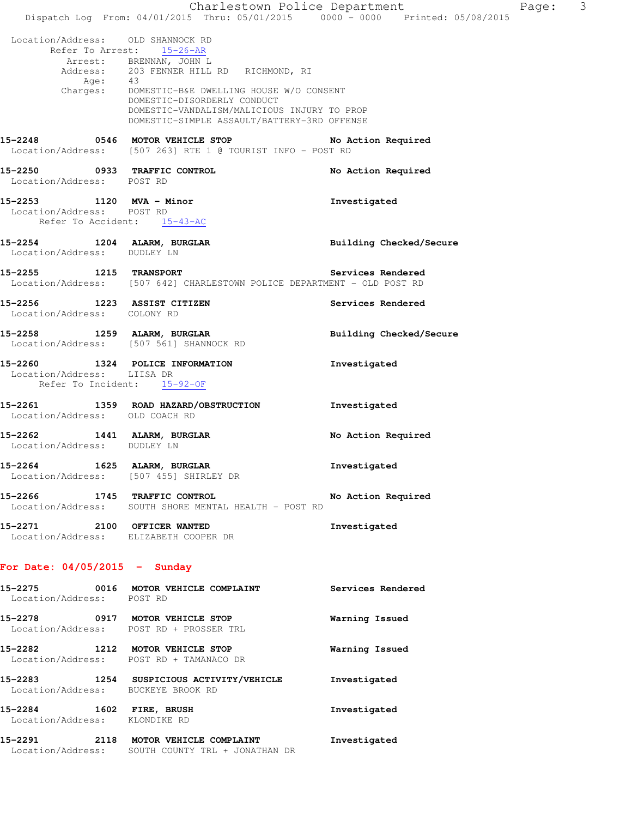Charlestown Police Department Page: 3 Dispatch Log From: 04/01/2015 Thru: 05/01/2015 0000 - 0000 Printed: 05/08/2015 Location/Address: OLD SHANNOCK RD Refer To Arrest: 15-26-AR Arrest: BRENNAN, JOHN L Address: 203 FENNER HILL RD RICHMOND, RI Age: 43 Charges: DOMESTIC-B&E DWELLING HOUSE W/O CONSENT DOMESTIC-DISORDERLY CONDUCT DOMESTIC-VANDALISM/MALICIOUS INJURY TO PROP DOMESTIC-SIMPLE ASSAULT/BATTERY-3RD OFFENSE **15-2248 0546 MOTOR VEHICLE STOP No Action Required**  Location/Address: [507 263] RTE 1 @ TOURIST INFO - POST RD **15-2250 0933 TRAFFIC CONTROL No Action Required**  Location/Address: POST RD **15-2253 1120 MVA - Minor Investigated**  Location/Address: POST RD Refer To Accident: 15-43-AC **15-2254 1204 ALARM, BURGLAR Building Checked/Secure**  Location/Address: DUDLEY LN **15-2255 1215 TRANSPORT Services Rendered**  Location/Address: [507 642] CHARLESTOWN POLICE DEPARTMENT - OLD POST RD **15-2256 1223 ASSIST CITIZEN Services Rendered**  Location/Address: COLONY RD **15-2258 1259 ALARM, BURGLAR Building Checked/Secure**  Location/Address: [507 561] SHANNOCK RD **15-2260 1324 POLICE INFORMATION Investigated**  Location/Address: LIISA DR Refer To Incident: 15-92-OF **15-2261 1359 ROAD HAZARD/OBSTRUCTION Investigated**  Location/Address: OLD COACH RD **15-2262 1441 ALARM, BURGLAR No Action Required**  Location/Address: DUDLEY LN **15-2264 1625 ALARM, BURGLAR Investigated**  Location/Address: [507 455] SHIRLEY DR **15-2266 1745 TRAFFIC CONTROL No Action Required**  Location/Address: SOUTH SHORE MENTAL HEALTH - POST RD **15-2271 2100 OFFICER WANTED Investigated**  Location/Address: ELIZABETH COOPER DR **For Date: 04/05/2015 - Sunday 15-2275 0016 MOTOR VEHICLE COMPLAINT Services Rendered**  Location/Address: POST RD **15-2278 0917 MOTOR VEHICLE STOP Warning Issued**  Location/Address: POST RD + PROSSER TRL **15-2282 1212 MOTOR VEHICLE STOP Warning Issued**  Location/Address: POST RD + TAMANACO DR **15-2283 1254 SUSPICIOUS ACTIVITY/VEHICLE Investigated** 

 Location/Address: BUCKEYE BROOK RD **15-2284 1602 FIRE, BRUSH Investigated**  Location/Address: KLONDIKE RD

**15-2291 2118 MOTOR VEHICLE COMPLAINT Investigated**  Location/Address: SOUTH COUNTY TRL + JONATHAN DR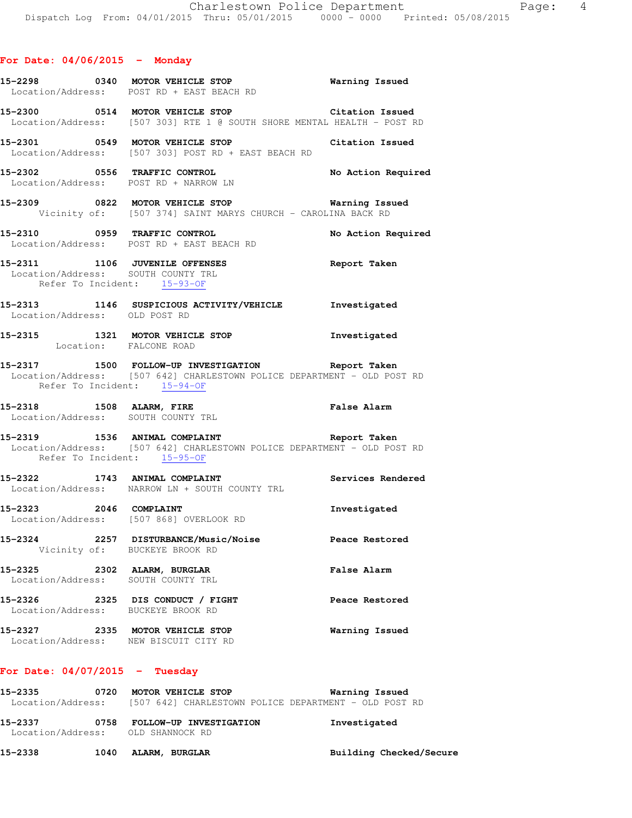|                                  | 15-2298 0340 MOTOR VEHICLE STOP Warning Issued<br>Location/Address: POST RD + EAST BEACH RD                                                                  |                    |
|----------------------------------|--------------------------------------------------------------------------------------------------------------------------------------------------------------|--------------------|
|                                  | 15-2300 0514 MOTOR VEHICLE STOP Citation Issued<br>Location/Address: [507 303] RTE 1 @ SOUTH SHORE MENTAL HEALTH - POST RD                                   |                    |
|                                  | 15-2301 0549 MOTOR VEHICLE STOP Citation Issued<br>Location/Address: [507 303] POST RD + EAST BEACH RD                                                       |                    |
|                                  | 15-2302 0556 TRAFFIC CONTROL No Action Required<br>Location/Address: POST RD + NARROW LN                                                                     |                    |
|                                  | 15-2309 0822 MOTOR VEHICLE STOP 6 Warning Issued<br>Vicinity of: [507 374] SAINT MARYS CHURCH - CAROLINA BACK RD                                             |                    |
|                                  | 15-2310 0959 TRAFFIC CONTROL No Action Required<br>Location/Address: POST RD + EAST BEACH RD                                                                 |                    |
|                                  | 15-2311 1106 JUVENILE OFFENSES 2000 Report Taken<br>Location/Address: SOUTH COUNTY TRL<br>Refer To Incident: 15-93-OF                                        |                    |
| Location/Address: OLD POST RD    | 15-2313 1146 SUSPICIOUS ACTIVITY/VEHICLE Investigated                                                                                                        |                    |
|                                  | 15-2315 1321 MOTOR VEHICLE STOP 1nvestigated<br>Location: FALCONE ROAD                                                                                       |                    |
|                                  | 15-2317 1500 FOLLOW-UP INVESTIGATION Report Taken<br>Location/Address: [507 642] CHARLESTOWN POLICE DEPARTMENT - OLD POST RD<br>Refer To Incident: 15-94-OF  |                    |
|                                  | 15-2318 1508 ALARM, FIRE False Alarm<br>Location/Address: SOUTH COUNTY TRL                                                                                   |                    |
|                                  | 15-2319 1536 ANIMAL COMPLAINT 15-2319 Report Taken<br>Location/Address: [507 642] CHARLESTOWN POLICE DEPARTMENT - OLD POST RD<br>Refer To Incident: 15-95-OF |                    |
|                                  | 15-2322 1743 ANIMAL COMPLAINT Services Rendered<br>Location/Address: NARROW LN + SOUTH COUNTY TRL                                                            |                    |
|                                  | 15-2323 2046 COMPLAINT<br>Location/Address: [507 868] OVERLOOK RD                                                                                            | Investigated       |
|                                  | 15-2324 2257 DISTURBANCE/Music/Noise<br>Vicinity of: BUCKEYE BROOK RD                                                                                        | Peace Restored     |
|                                  | 15-2325 2302 ALARM, BURGLAR<br>Location/Address: SOUTH COUNTY TRL                                                                                            | <b>False Alarm</b> |
|                                  | 15-2326 2325 DIS CONDUCT / FIGHT<br>Location/Address: BUCKEYE BROOK RD                                                                                       | Peace Restored     |
|                                  | 15-2327 2335 MOTOR VEHICLE STOP<br>Location/Address: NEW BISCUIT CITY RD                                                                                     | Warning Issued     |
| For Date: $04/07/2015$ - Tuesday |                                                                                                                                                              |                    |
|                                  | 15-2335 0720 MOTOR VEHICLE STOP<br>Location/Address: [507 642] CHARLESTOWN POLICE DEPARTMENT - OLD POST RD                                                   | Warning Issued     |

| 15–2337           | 0758 | FOLLOW-UP INVESTIGATION | Investigated            |
|-------------------|------|-------------------------|-------------------------|
| Location/Address: |      | OLD SHANNOCK RD         |                         |
| 15-2338           | 1040 | ALARM, BURGLAR          | Building Checked/Secure |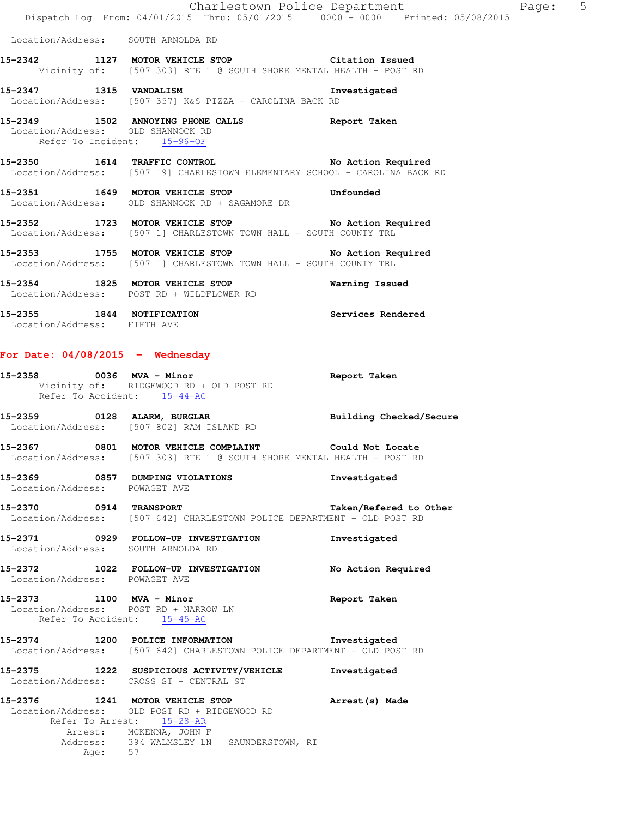|                                                                                                  | Dispatch Log From: 04/01/2015 Thru: 05/01/2015 0000 - 0000 Printed: 05/08/2015                                                                                                       | Charlestown Police Department The Page: 5 |  |
|--------------------------------------------------------------------------------------------------|--------------------------------------------------------------------------------------------------------------------------------------------------------------------------------------|-------------------------------------------|--|
| Location/Address: SOUTH ARNOLDA RD                                                               |                                                                                                                                                                                      |                                           |  |
|                                                                                                  | 15-2342 1127 MOTOR VEHICLE STOP 60 Citation Issued<br>Vicinity of: [507 303] RTE 1 @ SOUTH SHORE MENTAL HEALTH - POST RD                                                             |                                           |  |
| 15-2347 1315 VANDALISM                                                                           | Location/Address: [507 357] K&S PIZZA - CAROLINA BACK RD                                                                                                                             | Investigated                              |  |
| Location/Address: OLD SHANNOCK RD<br>Refer To Incident: 15-96-OF                                 | 15-2349 1502 ANNOYING PHONE CALLS 6 Report Taken                                                                                                                                     |                                           |  |
|                                                                                                  | 15-2350 1614 TRAFFIC CONTROL No Action Required<br>Location/Address: [507 19] CHARLESTOWN ELEMENTARY SCHOOL - CAROLINA BACK RD                                                       |                                           |  |
|                                                                                                  | 15-2351 1649 MOTOR VEHICLE STOP<br>Location/Address: OLD SHANNOCK RD + SAGAMORE DR                                                                                                   | Unfounded                                 |  |
|                                                                                                  | 15-2352 1723 MOTOR VEHICLE STOP No Action Required<br>Location/Address: [507 1] CHARLESTOWN TOWN HALL - SOUTH COUNTY TRL                                                             |                                           |  |
|                                                                                                  | 15-2353 1755 MOTOR VEHICLE STOP 15-2353<br>Location/Address: [507 1] CHARLESTOWN TOWN HALL - SOUTH COUNTY TRL                                                                        |                                           |  |
|                                                                                                  | 15-2354 1825 MOTOR VEHICLE STOP<br>Location/Address: POST RD + WILDFLOWER RD                                                                                                         | Warning Issued                            |  |
| 15-2355 1844 NOTIFICATION<br>Location/Address: FIFTH AVE                                         |                                                                                                                                                                                      | Services Rendered                         |  |
| For Date: $04/08/2015$ - Wednesday                                                               |                                                                                                                                                                                      |                                           |  |
| Refer To Accident: 15-44-AC                                                                      | $15-2358$ 0036 MVA - Minor<br>Vicinity of: RIDGEWOOD RD + OLD POST RD                                                                                                                | Report Taken                              |  |
|                                                                                                  | 15-2359 0128 ALARM, BURGLAR BURGLAR Building Checked/Secure<br>Location/Address: [507 802] RAM ISLAND RD                                                                             |                                           |  |
|                                                                                                  | 15-2367 0801 MOTOR VEHICLE COMPLAINT Could Not Locate<br>Location/Address: [507 303] RTE 1 @ SOUTH SHORE MENTAL HEALTH - POST RD                                                     |                                           |  |
| Location/Address: POWAGET AVE                                                                    | 15-2369 0857 DUMPING VIOLATIONS                                                                                                                                                      | Investigated                              |  |
| 15-2370 0914 TRANSPORT                                                                           | Location/Address: [507 642] CHARLESTOWN POLICE DEPARTMENT - OLD POST RD                                                                                                              | Taken/Refered to Other                    |  |
| Location/Address: SOUTH ARNOLDA RD                                                               | 15-2371 0929 FOLLOW-UP INVESTIGATION                                                                                                                                                 | Investigated                              |  |
| Location/Address: POWAGET AVE                                                                    | 15-2372 1022 FOLLOW-UP INVESTIGATION                                                                                                                                                 | No Action Required                        |  |
| 15-2373 1100 MVA - Minor<br>Location/Address: POST RD + NARROW LN<br>Refer To Accident: 15-45-AC |                                                                                                                                                                                      | Report Taken                              |  |
|                                                                                                  | 15-2374 1200 POLICE INFORMATION 1nvestigated<br>Location/Address: [507 642] CHARLESTOWN POLICE DEPARTMENT - OLD POST RD                                                              |                                           |  |
|                                                                                                  | 15-2375 1222 SUSPICIOUS ACTIVITY/VEHICLE<br>Location/Address: CROSS ST + CENTRAL ST                                                                                                  | Investigated                              |  |
| Age: 57                                                                                          | 15-2376 1241 MOTOR VEHICLE STOP<br>Location/Address: OLD POST RD + RIDGEWOOD RD<br>Refer To Arrest: 15-28-AR<br>Arrest: MCKENNA, JOHN F<br>Address: 394 WALMSLEY LN SAUNDERSTOWN, RI | Arrest(s) Made                            |  |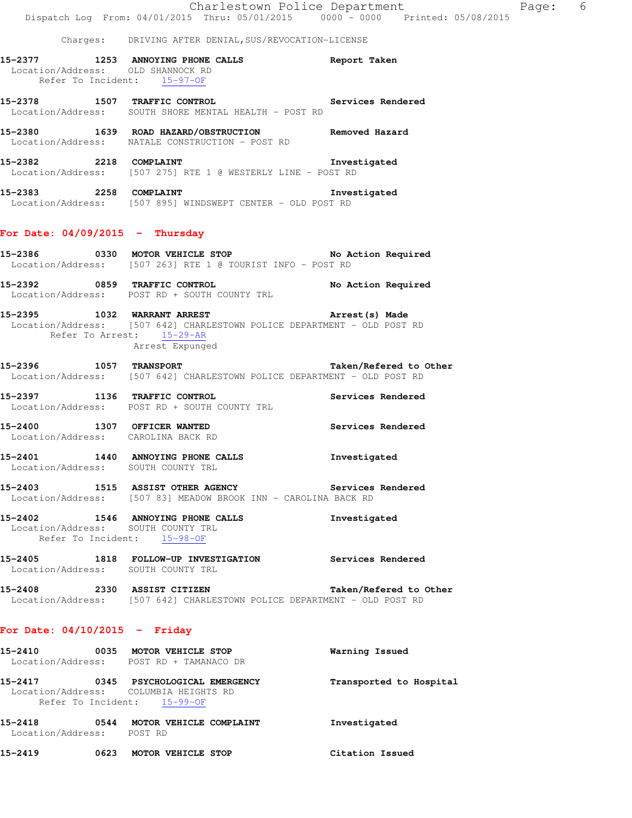|  | Charges: DRIVING AFTER DENIAL, SUS/REVOCATION-LICENSE                                                                                                  |                        |
|--|--------------------------------------------------------------------------------------------------------------------------------------------------------|------------------------|
|  | 15-2377 1253 ANNOYING PHONE CALLS Report Taken<br>Location/Address: OLD SHANNOCK RD<br>Refer To Incident: 15-97-OF                                     |                        |
|  | 15-2378 1507 TRAFFIC CONTROL 2000 Services Rendered<br>Location/Address: SOUTH SHORE MENTAL HEALTH - POST RD                                           |                        |
|  | 15-2380 1639 ROAD HAZARD/OBSTRUCTION Removed Hazard<br>Location/Address: NATALE CONSTRUCTION - POST RD                                                 |                        |
|  | 15-2382 2218 COMPLAINT 2000 2010 1nvestigated<br>Location/Address: [507 275] RTE 1 @ WESTERLY LINE - POST RD                                           |                        |
|  | 15-2383 2258 COMPLAINT<br>Location/Address: [507 895] WINDSWEPT CENTER - OLD POST RD                                                                   | Investigated           |
|  | For Date: $04/09/2015$ - Thursday                                                                                                                      |                        |
|  | Location/Address: [507 263] RTE 1 @ TOURIST INFO - POST RD                                                                                             |                        |
|  | 15-2392 0859 TRAFFIC CONTROL No Action Required<br>Location/Address: POST RD + SOUTH COUNTY TRL                                                        |                        |
|  | 15-2395 1032 WARRANT ARREST<br>Location/Address: [507 642] CHARLESTOWN POLICE DEPARTMENT - OLD POST RD<br>Refer To Arrest: 15-29-AR<br>Arrest Expunged | Arrest (s) Made        |
|  | 15-2396 1057 TRANSPORT<br>Location/Address: [507 642] CHARLESTOWN POLICE DEPARTMENT - OLD POST RD                                                      | Taken/Refered to Other |
|  | 15-2397 1136 TRAFFIC CONTROL 2000 Services Rendered<br>Location/Address: POST RD + SOUTH COUNTY TRL                                                    |                        |
|  | 15-2400 1307 OFFICER WANTED<br>Location/Address: CAROLINA BACK RD                                                                                      | Services Rendered      |
|  | 15-2401 1440 ANNOYING PHONE CALLS 1nvestigated<br>Location/Address: SOUTH COUNTY TRL                                                                   |                        |
|  | 15-2403 1515 ASSIST OTHER AGENCY<br>Location/Address: [507 83] MEADOW BROOK INN - CAROLINA BACK RD                                                     | Services Rendered      |
|  | 15-2402 1546 ANNOYING PHONE CALLS<br>Location/Address: SOUTH COUNTY TRL<br>Refer To Incident: 15-98-OF                                                 | Investigated           |
|  | 15-2405 1818 FOLLOW-UP INVESTIGATION<br>Location/Address: SOUTH COUNTY TRL                                                                             | Services Rendered      |
|  | 15-2408 2330 ASSIST CITIZEN<br>Location/Address: [507 642] CHARLESTOWN POLICE DEPARTMENT - OLD POST RD                                                 | Taken/Refered to Other |
|  |                                                                                                                                                        |                        |

# **For Date: 04/10/2015 - Friday**

| 15-2410           | 0035 | MOTOR VEHICLE STOP                    | Warning Issued          |
|-------------------|------|---------------------------------------|-------------------------|
| Location/Address: |      | POST RD + TAMANACO DR                 |                         |
| 15-2417           | 0345 | PSYCHOLOGICAL EMERGENCY               | Transported to Hospital |
|                   |      | Location/Address: COLUMBIA HEIGHTS RD |                         |
|                   |      | Refer To Incident: 15-99-OF           |                         |
| 15-2418           | 0544 | MOTOR VEHICLE COMPLAINT               | Investigated            |
| Location/Address: |      | POST RD                               |                         |
| 15-2419           | 0623 | MOTOR VEHICLE STOP                    | Citation Issued         |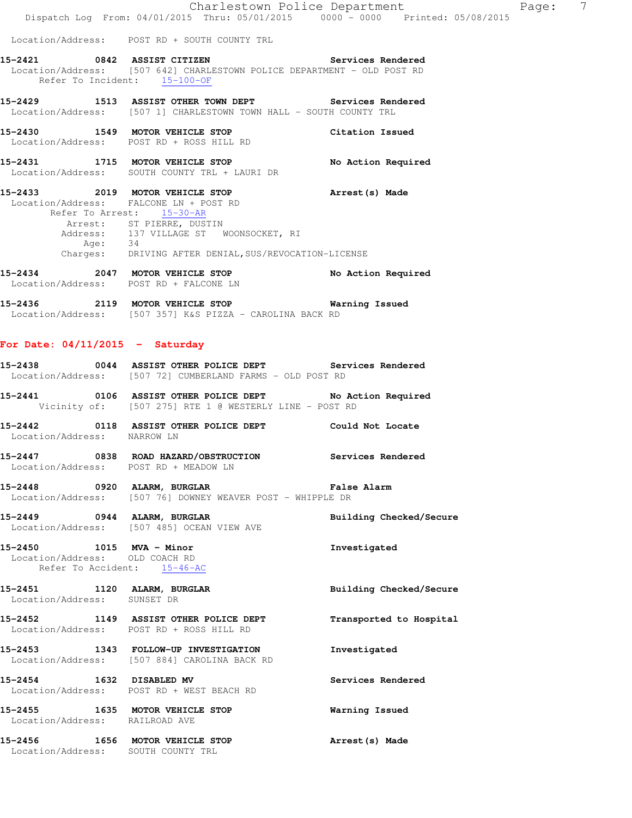Location/Address: POST RD + SOUTH COUNTY TRL

- **15-2421 0842 ASSIST CITIZEN Services Rendered**  Location/Address: [507 642] CHARLESTOWN POLICE DEPARTMENT - OLD POST RD Refer To Incident:  $15-100-OF$
- **15-2429 1513 ASSIST OTHER TOWN DEPT Services Rendered**  Location/Address: [507 1] CHARLESTOWN TOWN HALL - SOUTH COUNTY TRL
- **15-2430 1549 MOTOR VEHICLE STOP Citation Issued**  Location/Address: POST RD + ROSS HILL RD
- **15-2431 1715 MOTOR VEHICLE STOP No Action Required**  Location/Address: SOUTH COUNTY TRL + LAURI DR
- **15-2433 2019 MOTOR VEHICLE STOP Arrest(s) Made**  Location/Address: FALCONE LN + POST RD Refer To Arrest: 15-30-AR Arrest: ST PIERRE, DUSTIN Address: 137 VILLAGE ST WOONSOCKET, RI Age: 34 Charges: DRIVING AFTER DENIAL,SUS/REVOCATION-LICENSE
- **15-2434 2047 MOTOR VEHICLE STOP No Action Required**  Location/Address: POST RD + FALCONE LN
- **15-2436 2119 MOTOR VEHICLE STOP Warning Issued**  Location/Address: [507 357] K&S PIZZA - CAROLINA BACK RD

#### **For Date: 04/11/2015 - Saturday**

| 15-2438           |  | 0044 ASSIST OTHER POLICE DEPT           |  |  | Services Rendered |
|-------------------|--|-----------------------------------------|--|--|-------------------|
| Location/Address: |  | [507 72] CUMBERLAND FARMS - OLD POST RD |  |  |                   |

- **15-2441 0106 ASSIST OTHER POLICE DEPT No Action Required**  Vicinity of: [507 275] RTE 1 @ WESTERLY LINE - POST RD
- **15-2442 0118 ASSIST OTHER POLICE DEPT Could Not Locate**  Location/Address: NARROW LN
- **15-2447 0838 ROAD HAZARD/OBSTRUCTION Services Rendered**  Location/Address: POST RD + MEADOW LN
- **15-2448 0920 ALARM, BURGLAR False Alarm**  Location/Address: [507 76] DOWNEY WEAVER POST - WHIPPLE DR
- **15-2449 0944 ALARM, BURGLAR Building Checked/Secure**  Location/Address: [507 485] OCEAN VIEW AVE
- **15-2450 1015 MVA Minor Investigated**  Location/Address: OLD COACH RD Refer To Accident: 15-46-AC
- **15-2451 1120 ALARM, BURGLAR Building Checked/Secure**  Location/Address: SUNSET DR
- **15-2452 1149 ASSIST OTHER POLICE DEPT Transported to Hospital**  Location/Address: POST RD + ROSS HILL RD
- **15-2453 1343 FOLLOW-UP INVESTIGATION Investigated**  Location/Address: [507 884] CAROLINA BACK RD
- **15-2454 1632 DISABLED MV Services Rendered**  Location/Address: POST RD + WEST BEACH RD
- **15-2455 1635 MOTOR VEHICLE STOP Warning Issued**  Location/Address: RAILROAD AVE
- **15-2456 1656 MOTOR VEHICLE STOP Arrest(s) Made**  Location/Address: SOUTH COUNTY TRL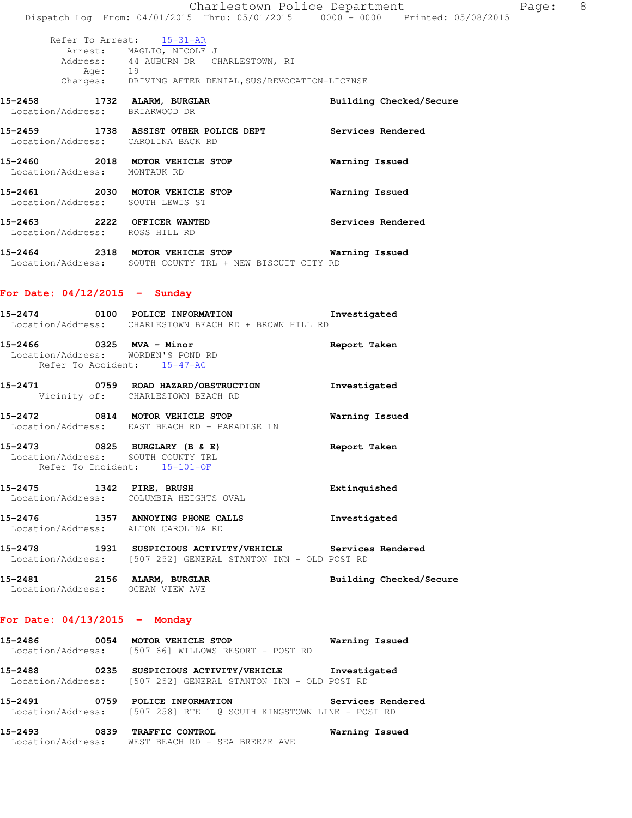|                                                                     | Charlestown Police Department                                                  |                   |                         | Page: | 8 |
|---------------------------------------------------------------------|--------------------------------------------------------------------------------|-------------------|-------------------------|-------|---|
|                                                                     | Dispatch Log From: 04/01/2015 Thru: 05/01/2015 0000 - 0000 Printed: 05/08/2015 |                   |                         |       |   |
|                                                                     | Refer To Arrest: 15-31-AR                                                      |                   |                         |       |   |
| Age: 19                                                             | Arrest: MAGLIO, NICOLE J<br>Address: 44 AUBURN DR CHARLESTOWN, RI              |                   |                         |       |   |
|                                                                     | Charges: DRIVING AFTER DENIAL, SUS/REVOCATION-LICENSE                          |                   |                         |       |   |
| 15-2458 1732 ALARM, BURGLAR<br>Location/Address:                    | BRIARWOOD DR                                                                   |                   | Building Checked/Secure |       |   |
| Location/Address: CAROLINA BACK RD                                  | 15-2459 1738 ASSIST OTHER POLICE DEPT                                          | Services Rendered |                         |       |   |
| 15-2460 2018 MOTOR VEHICLE STOP<br>Location/Address:                | MONTAUK RD                                                                     | Warning Issued    |                         |       |   |
| 15-2461 2030 MOTOR VEHICLE STOP<br>Location/Address: SOUTH LEWIS ST |                                                                                | Warning Issued    |                         |       |   |
| 15-2463 2222 OFFICER WANTED<br>Location/Address: ROSS HILL RD       |                                                                                | Services Rendered |                         |       |   |
| 15-2464 2318 MOTOR VEHICLE STOP<br>Location/Address:                | SOUTH COUNTY TRL + NEW BISCUIT CITY RD                                         | Warning Issued    |                         |       |   |

# **For Date: 04/12/2015 - Sunday**

|                                                                                               | 15-2474 0100 POLICE INFORMATION<br>Location/Address: CHARLESTOWN BEACH RD + BROWN HILL RD                                   | Investigated            |
|-----------------------------------------------------------------------------------------------|-----------------------------------------------------------------------------------------------------------------------------|-------------------------|
| 15-2466 0325 MVA - Minor<br>Location/Address: WORDEN'S POND RD<br>Refer To Accident: 15-47-AC |                                                                                                                             | Report Taken            |
|                                                                                               | 15-2471 0759 ROAD HAZARD/OBSTRUCTION<br>Vicinity of: CHARLESTOWN BEACH RD                                                   | Investigated            |
|                                                                                               | 15-2472 0814 MOTOR VEHICLE STOP<br>Location/Address: EAST BEACH RD + PARADISE LN                                            | Warning Issued          |
| Location/Address: SOUTH COUNTY TRL<br>Refer To Incident: 15-101-OF                            | 15-2473 0825 BURGLARY (B & E)                                                                                               | Report Taken            |
|                                                                                               | 15-2475 1342 FIRE, BRUSH<br>Location/Address: COLUMBIA HEIGHTS OVAL                                                         | Extinquished            |
| Location/Address: ALTON CAROLINA RD                                                           | 15-2476 1357 ANNOYING PHONE CALLS 15-2476 Investigated                                                                      |                         |
|                                                                                               | 15-2478 1931 SUSPICIOUS ACTIVITY/VEHICLE Services Rendered<br>Location/Address: [507 252] GENERAL STANTON INN - OLD POST RD |                         |
| 15-2481 2156 ALARM, BURGLAR<br>Location/Address: OCEAN VIEW AVE                               |                                                                                                                             | Building Checked/Secure |

# **For Date: 04/13/2015 - Monday**

| 15-2486<br>0054                      | MOTOR VEHICLE STOP<br>Location/Address: [507 66] WILLOWS RESORT - POST RD                    | Warning Issued    |
|--------------------------------------|----------------------------------------------------------------------------------------------|-------------------|
| 15-2488<br>0235                      | SUSPICIOUS ACTIVITY/VEHICLE<br>Location/Address: [507 252] GENERAL STANTON INN - OLD POST RD | Investigated      |
| 15-2491<br>0759                      | POLICE INFORMATION<br>Location/Address: [507 258] RTE 1 @ SOUTH KINGSTOWN LINE - POST RD     | Services Rendered |
| 15-2493<br>0839<br>Location/Address: | TRAFFIC CONTROL<br>WEST BEACH RD + SEA BREEZE AVE                                            | Warning Issued    |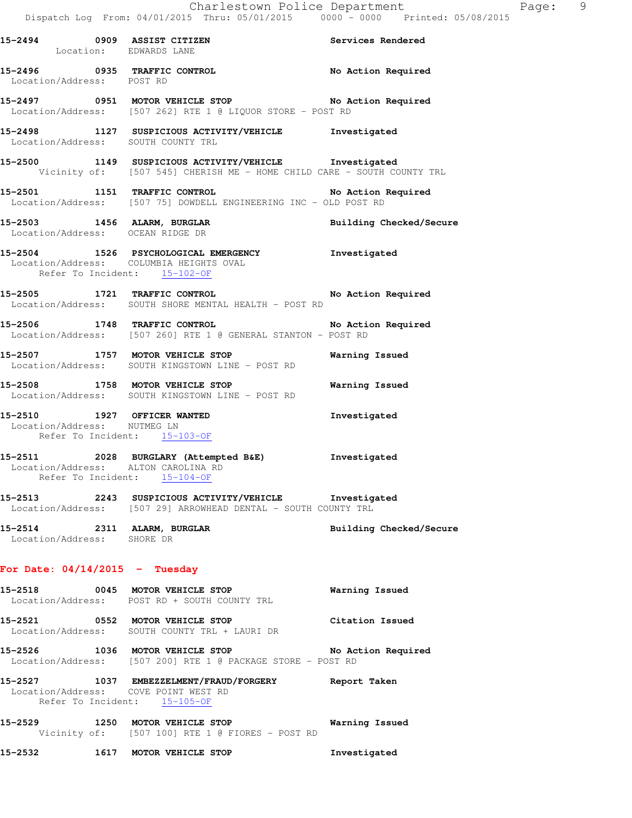| 15-2494 0909 ASSIST CITIZEN                                | Location: EDWARDS LANE                                                                                                          | Services Rendered       |
|------------------------------------------------------------|---------------------------------------------------------------------------------------------------------------------------------|-------------------------|
| Location/Address: POST RD                                  | 15-2496 0935 TRAFFIC CONTROL                                                                                                    | No Action Required      |
|                                                            | 15-2497 0951 MOTOR VEHICLE STOP No Action Required<br>Location/Address: [507 262] RTE 1 @ LIQUOR STORE - POST RD                |                         |
|                                                            | 15-2498 1127 SUSPICIOUS ACTIVITY/VEHICLE Investigated<br>Location/Address: SOUTH COUNTY TRL                                     |                         |
|                                                            | 15-2500 1149 SUSPICIOUS ACTIVITY/VEHICLE Investigated<br>Vicinity of: [507 545] CHERISH ME - HOME CHILD CARE - SOUTH COUNTY TRL |                         |
|                                                            | 15-2501 1151 TRAFFIC CONTROL No Action :<br>Location/Address: [507 75] DOWDELL ENGINEERING INC - OLD POST RD                    | No Action Required      |
|                                                            | 15-2503 1456 ALARM, BURGLAR<br>Location/Address: OCEAN RIDGE DR                                                                 | Building Checked/Secure |
|                                                            | 15-2504 1526 PSYCHOLOGICAL EMERGENCY 1nvestigated<br>Location/Address: COLUMBIA HEIGHTS OVAL<br>Refer To Incident: 15-102-OF    |                         |
|                                                            | 15-2505 1721 TRAFFIC CONTROL No Action Required<br>Location/Address: SOUTH SHORE MENTAL HEALTH - POST RD                        |                         |
|                                                            | 15-2506 1748 TRAFFIC CONTROL No Action Required<br>Location/Address: [507 260] RTE 1 @ GENERAL STANTON - POST RD                |                         |
|                                                            | 15-2507 1757 MOTOR VEHICLE STOP<br>Location/Address: SOUTH KINGSTOWN LINE - POST RD                                             | Warning Issued          |
|                                                            | 15-2508 1758 MOTOR VEHICLE STOP<br>Location/Address: SOUTH KINGSTOWN LINE - POST RD                                             | Warning Issued          |
| 15-2510 1927 OFFICER WANTED<br>Location/Address: NUTMEG LN | Refer To Incident: 15-103-OF                                                                                                    | Investigated            |
|                                                            | 15-2511 2028 BURGLARY (Attempted B&E) Investigated<br>Location/Address: ALTON CAROLINA RD<br>Refer To Incident: 15-104-OF       |                         |
|                                                            | 15-2513 2243 SUSPICIOUS ACTIVITY/VEHICLE Investigated<br>Location/Address: [507 29] ARROWHEAD DENTAL - SOUTH COUNTY TRL         |                         |
| 15-2514 2311 ALARM, BURGLAR<br>Location/Address: SHORE DR  |                                                                                                                                 | Building Checked/Secure |
| For Date: $04/14/2015$ - Tuesday                           |                                                                                                                                 |                         |
|                                                            | 15-2518 0045 MOTOR VEHICLE STOP<br>Location/Address: POST RD + SOUTH COUNTY TRL                                                 | Warning Issued          |
|                                                            | 15-2521 0552 MOTOR VEHICLE STOP<br>Location/Address: SOUTH COUNTY TRL + LAURI DR                                                | Citation Issued         |
|                                                            | 15-2526 1036 MOTOR VEHICLE STOP<br>Location/Address: [507 200] RTE 1 @ PACKAGE STORE - POST RD                                  | No Action Required      |

**15-2527 1037 EMBEZZELMENT/FRAUD/FORGERY Report Taken**  Location/Address: COVE POINT WEST RD Refer To Incident: 15-105-OF

**15-2529 1250 MOTOR VEHICLE STOP Warning Issued**  Vicinity of: [507 100] RTE 1 @ FIORES - POST RD

**15-2532 1617 MOTOR VEHICLE STOP Investigated**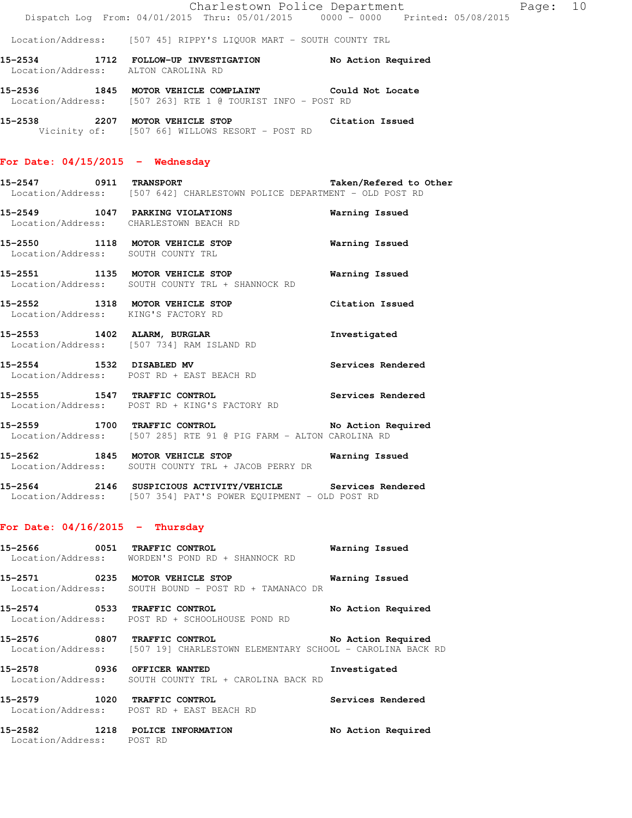#### Location/Address: [507 45] RIPPY'S LIQUOR MART - SOUTH COUNTY TRL

**15-2534 1712 FOLLOW-UP INVESTIGATION No Action Required**  Location/Address: ALTON CAROLINA RD

**15-2536 1845 MOTOR VEHICLE COMPLAINT Could Not Locate**  Location/Address: [507 263] RTE 1 @ TOURIST INFO - POST RD

**15-2538 2207 MOTOR VEHICLE STOP Citation Issued**  Vicinity of: [507 66] WILLOWS RESORT - POST RD

#### **For Date: 04/15/2015 - Wednesday**

**15-2547 0911 TRANSPORT Taken/Refered to Other**  Location/Address: [507 642] CHARLESTOWN POLICE DEPARTMENT - OLD POST RD

## **15-2549 1047 PARKING VIOLATIONS Warning Issued**  Location/Address: CHARLESTOWN BEACH RD

**15-2550 1118 MOTOR VEHICLE STOP Warning Issued**  Location/Address: SOUTH COUNTY TRL

**15-2551 1135 MOTOR VEHICLE STOP Warning Issued**  Location/Address: SOUTH COUNTY TRL + SHANNOCK RD

**15-2552 1318 MOTOR VEHICLE STOP Citation Issued**  Location/Address: KING'S FACTORY RD

**15-2553 1402 ALARM, BURGLAR Investigated**  Location/Address: [507 734] RAM ISLAND RD

**15-2554 1532 DISABLED MV Services Rendered**  Location/Address: POST RD + EAST BEACH RD

**15-2555 1547 TRAFFIC CONTROL Services Rendered**  Location/Address: POST RD + KING'S FACTORY RD

15-2559 1700 TRAFFIC CONTROL **15-2559** No Action Required Location/Address: [507 285] RTE 91 @ PIG FARM - ALTON CAROLINA RD

**15-2562 1845 MOTOR VEHICLE STOP Warning Issued**  Location/Address: SOUTH COUNTY TRL + JACOB PERRY DR

**15-2564 2146 SUSPICIOUS ACTIVITY/VEHICLE Services Rendered**  Location/Address: [507 354] PAT'S POWER EQUIPMENT - OLD POST RD

#### **For Date: 04/16/2015 - Thursday**

**15-2566 0051 TRAFFIC CONTROL Warning Issued**  Location/Address: WORDEN'S POND RD + SHANNOCK RD

**15-2571 0235 MOTOR VEHICLE STOP Warning Issued**  Location/Address: SOUTH BOUND - POST RD + TAMANACO DR

**15-2574 0533 TRAFFIC CONTROL No Action Required**  Location/Address: POST RD + SCHOOLHOUSE POND RD

**15-2576 0807 TRAFFIC CONTROL No Action Required**  Location/Address: [507 19] CHARLESTOWN ELEMENTARY SCHOOL - CAROLINA BACK RD

**15-2578 0936 OFFICER WANTED Investigated**  Location/Address: SOUTH COUNTY TRL + CAROLINA BACK RD

**15-2579 1020 TRAFFIC CONTROL Services Rendered**  Location/Address: POST RD + EAST BEACH RD

**15-2582 1218 POLICE INFORMATION No Action Required**  Location/Address: POST RD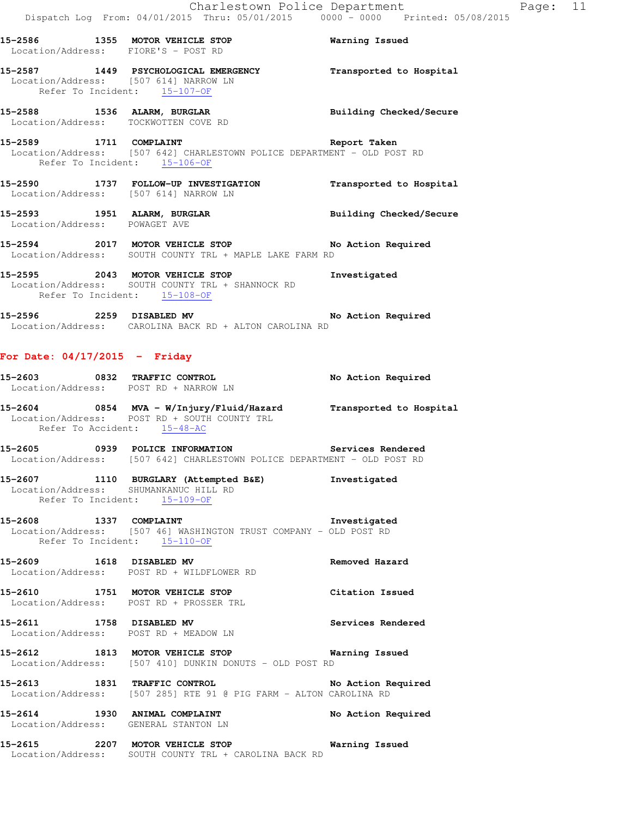|                                 | 15-2586 1355 MOTOR VEHICLE STOP<br>Location/Address: FIORE'S - POST RD                                                                          | <b>Warning Issued</b>   |
|---------------------------------|-------------------------------------------------------------------------------------------------------------------------------------------------|-------------------------|
|                                 | 15-2587 1449 PSYCHOLOGICAL EMERGENCY<br>Location/Address: [507 614] NARROW LN<br>Refer To Incident: 15-107-OF                                   | Transported to Hospital |
|                                 | 15-2588 1536 ALARM, BURGLAR BURGER Building Checked/Secure<br>Location/Address: TOCKWOTTEN COVE RD                                              |                         |
|                                 | 15-2589 1711 COMPLAINT Report Taken<br>Location/Address: [507 642] CHARLESTOWN POLICE DEPARTMENT - OLD POST RD<br>Refer To Incident: 15-106-OF  |                         |
|                                 | 15-2590 1737 FOLLOW-UP INVESTIGATION Transported to Hospital<br>Location/Address: [507 614] NARROW LN                                           |                         |
|                                 | 15-2593 1951 ALARM, BURGLAR Number 2011 Building Checked/Secure<br>Location/Address: POWAGET AVE                                                |                         |
|                                 | 15-2594 2017 MOTOR VEHICLE STOP No Action Required<br>Location/Address: SOUTH COUNTY TRL + MAPLE LAKE FARM RD                                   |                         |
|                                 | 15-2595 2043 MOTOR VEHICLE STOP<br>Location/Address: SOUTH COUNTY TRL + SHANNOCK RD<br>Refer To Incident: 15-108-OF                             | Investigated            |
|                                 | 15-2596 2259 DISABLED MV 10 2000 No Action Required<br>Location/Address: CAROLINA BACK RD + ALTON CAROLINA RD                                   |                         |
| For Date: $04/17/2015$ - Friday |                                                                                                                                                 |                         |
|                                 | 15-2603 0832 TRAFFIC CONTROL<br>Location/Address: POST RD + NARROW LN                                                                           | No Action Required      |
|                                 | 15-2604 0854 MVA - W/Injury/Fluid/Hazard Transported to Hospital<br>Location/Address: POST RD + SOUTH COUNTY TRL<br>Refer To Accident: 15-48-AC |                         |
|                                 | 15-2605 0939 POLICE INFORMATION Services Rendered<br>Location/Address: [507 642] CHARLESTOWN POLICE DEPARTMENT - OLD POST RD                    |                         |

#### **15-2607 1110 BURGLARY (Attempted B&E) Investigated**  Location/Address: SHUMANKANUC HILL RD Refer To Incident:  $15-109-OF$

- **15-2608 1337 COMPLAINT Investigated**  Location/Address: [507 46] WASHINGTON TRUST COMPANY - OLD POST RD Refer To Incident: 15-110-OF
- **15-2609 1618 DISABLED MV Removed Hazard**  Location/Address: POST RD + WILDFLOWER RD
- **15-2610 1751 MOTOR VEHICLE STOP Citation Issued**  Location/Address: POST RD + PROSSER TRL
- **15-2611 1758 DISABLED MV Services Rendered**  Location/Address: POST RD + MEADOW LN
- **15-2612 1813 MOTOR VEHICLE STOP Warning Issued**  Location/Address: [507 410] DUNKIN DONUTS - OLD POST RD
- **15-2613 1831 TRAFFIC CONTROL No Action Required**  Location/Address: [507 285] RTE 91 @ PIG FARM - ALTON CAROLINA RD
- **15-2614 1930 ANIMAL COMPLAINT No Action Required**  Location/Address: GENERAL STANTON LN
- **15-2615 2207 MOTOR VEHICLE STOP Warning Issued**  Location/Address: SOUTH COUNTY TRL + CAROLINA BACK RD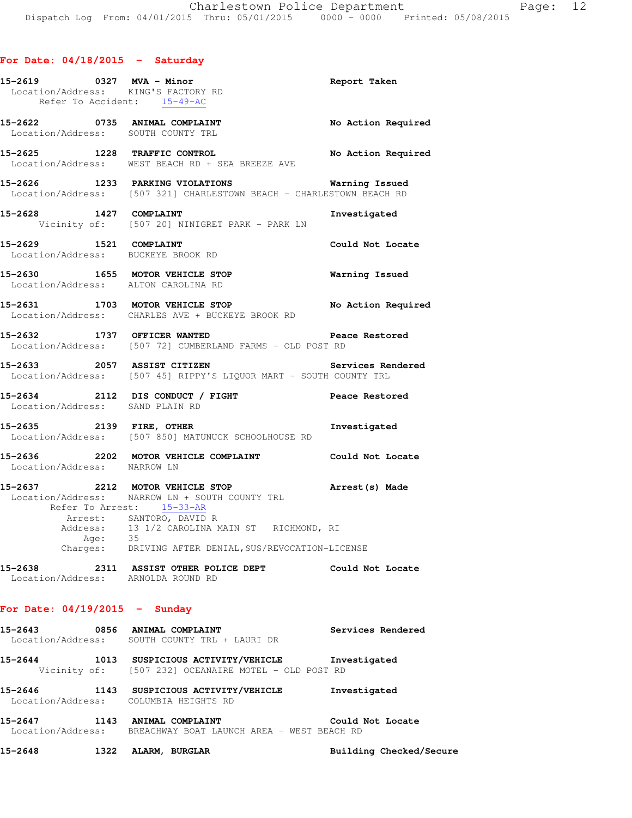|                             | 15-2619 0327 MVA - Minor<br>Location/Address: KING'S FACTORY RD<br>Refer To Accident: 15-49-AC                                        | Report Taken          |
|-----------------------------|---------------------------------------------------------------------------------------------------------------------------------------|-----------------------|
|                             |                                                                                                                                       |                       |
|                             | 15-2622 0735 ANIMAL COMPLAINT No Action Required<br>Location/Address: SOUTH COUNTY TRL                                                |                       |
|                             | 15-2625 1228 TRAFFIC CONTROL No Action Required<br>Location/Address: WEST BEACH RD + SEA BREEZE AVE                                   |                       |
|                             | 15-2626 1233 PARKING VIOLATIONS<br>Location/Address: [507 321] CHARLESTOWN BEACH - CHARLESTOWN BEACH RD                               | <b>Warning Issued</b> |
|                             | 15-2628 1427 COMPLAINT<br>Vicinity of: [507 20] NINIGRET PARK - PARK LN                                                               | Investigated          |
| 15-2629 1521 COMPLAINT      | Location/Address: BUCKEYE BROOK RD                                                                                                    | Could Not Locate      |
|                             | 15-2630 1655 MOTOR VEHICLE STOP<br>Location/Address: ALTON CAROLINA RD                                                                | <b>Warning Issued</b> |
|                             | 15-2631 1703 MOTOR VEHICLE STOP No Action Required<br>Location/Address: CHARLES AVE + BUCKEYE BROOK RD                                |                       |
|                             | 15-2632 1737 OFFICER WANTED Dea<br>Location/Address: [507 72] CUMBERLAND FARMS - OLD POST RD<br><b>Peace Restored</b>                 |                       |
|                             | Services Rendered<br>15-2633 2057 ASSIST CITIZEN<br>Location/Address: [507 45] RIPPY'S LIQUOR MART - SOUTH COUNTY TRL                 |                       |
|                             | 15-2634 2112 DIS CONDUCT / FIGHT Peace Restored<br>Location/Address: SAND PLAIN RD                                                    |                       |
|                             | 15-2635 2139 FIRE, OTHER 15-2635<br>Location/Address: [507 850] MATUNUCK SCHOOLHOUSE RD                                               |                       |
| Location/Address: NARROW LN | 15-2636 2202 MOTOR VEHICLE COMPLAINT Could Not Locate                                                                                 |                       |
|                             | 15-2637 2212 MOTOR VEHICLE STOP <b>Arrest</b> (s) Made<br>Location/Address: NARROW LN + SOUTH COUNTY TRL<br>Refer To Arrest: 15-33-AR |                       |
|                             | Arrest: SANTORO, DAVID R<br>Address: 13 1/2 CAROLINA MAIN ST RICHMOND, RI<br>Age: 35                                                  |                       |
|                             | Charges: DRIVING AFTER DENIAL, SUS/REVOCATION-LICENSE                                                                                 |                       |
|                             | 15-2638 2311 ASSIST OTHER POLICE DEPT Could Not Locate<br>Location/Address: ARNOLDA ROUND RD                                          |                       |
|                             | For Date: $04/19/2015$ - Sunday                                                                                                       |                       |
|                             | 15-2643 0856 ANIMAL COMPLAINT<br>Location/Address: SOUTH COUNTY TRL + LAURI DR                                                        | Services Rendered     |
|                             | 15-2644 1013 SUSPICIOUS ACTIVITY/VEHICLE Investigated<br>Vicinity of: [507 232] OCEANAIRE MOTEL - OLD POST RD                         |                       |
|                             | 15-2646 1143 SUSPICIOUS ACTIVITY/VEHICLE Investigated<br>Location/Address: COLUMBIA HEIGHTS RD                                        |                       |
|                             | 15-2647 1143 ANIMAL COMPLAINT<br>Location/Address: BREACHWAY BOAT LAUNCH AREA - WEST BEACH RD                                         | Could Not Locate      |

**15-2648 1322 ALARM, BURGLAR Building Checked/Secure**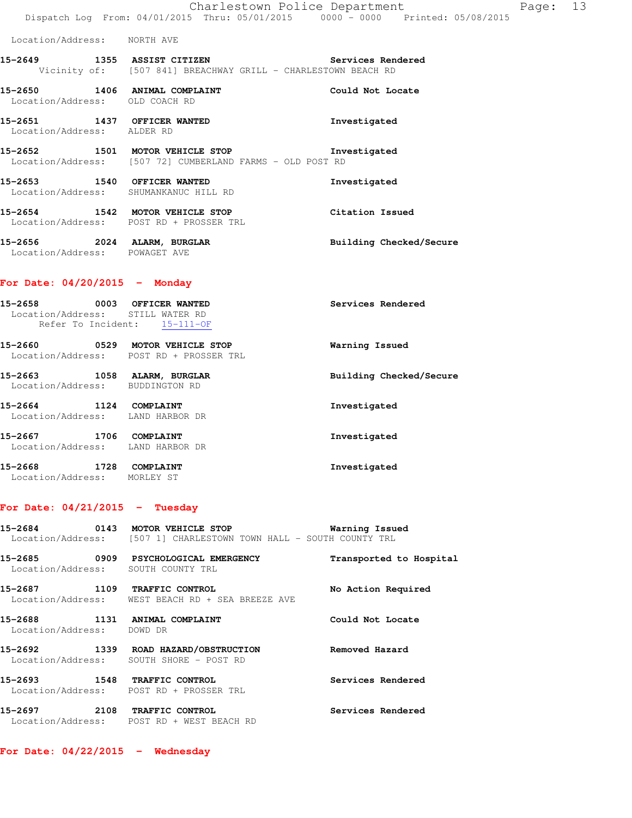| 15-2649                                                                        | 1355 | ASSIST CITIZEN |                               |  | Services Rendered |  |
|--------------------------------------------------------------------------------|------|----------------|-------------------------------|--|-------------------|--|
| Location/Address:                                                              |      | NORTH AVE      |                               |  |                   |  |
| Dispatch Log From: 04/01/2015 Thru: 05/01/2015 0000 - 0000 Printed: 05/08/2015 |      |                |                               |  |                   |  |
|                                                                                |      |                | Charlestown Police Department |  |                   |  |

Page: 13

Vicinity of: [507 841] BREACHWAY GRILL - CHARLESTOWN BEACH RD **15-2650 1406 ANIMAL COMPLAINT Could Not Locate** 

 Location/Address: OLD COACH RD **15-2651 1437 OFFICER WANTED Investigated**  Location/Address: ALDER RD

**15-2652 1501 MOTOR VEHICLE STOP Investigated**  Location/Address: [507 72] CUMBERLAND FARMS - OLD POST RD

**15-2653 1540 OFFICER WANTED Investigated**  Location/Address: SHUMANKANUC HILL RD

**15-2654 1542 MOTOR VEHICLE STOP Citation Issued**  Location/Address: POST RD + PROSSER TRL **15-2656 2024 ALARM, BURGLAR Building Checked/Secure** 

Location/Address: POWAGET AVE

#### **For Date: 04/20/2015 - Monday**

| 15-2658<br>Location/Address: STILL WATER RD<br>Refer To Incident: | 0003 OFFICER WANTED<br>$15 - 111 - OF$                               | Services Rendered       |
|-------------------------------------------------------------------|----------------------------------------------------------------------|-------------------------|
| 15-2660<br>0529                                                   | <b>MOTOR VEHICLE STOP</b><br>Location/Address: POST RD + PROSSER TRL | Warning Issued          |
| 15-2663<br>1058<br>Location/Address:                              | ALARM, BURGLAR<br>BUDDINGTON RD                                      | Building Checked/Secure |
| 15-2664<br>1124<br>Location/Address: LAND HARBOR DR               | COMPLAINT                                                            | Investigated            |
| 15-2667<br>1706<br>Location/Address: LAND HARBOR DR               | COMPLAINT                                                            | Investigated            |
| 15-2668<br>1728<br>Location/Address:                              | COMPLAINT<br>MORLEY ST                                               | Investigated            |

#### **For Date: 04/21/2015 - Tuesday**

**15-2684 0143 MOTOR VEHICLE STOP Warning Issued**  Location/Address: [507 1] CHARLESTOWN TOWN HALL - SOUTH COUNTY TRL

**15-2685 0909 PSYCHOLOGICAL EMERGENCY Transported to Hospital**  Location/Address: SOUTH COUNTY TRL **15-2687 1109 TRAFFIC CONTROL No Action Required**  Location/Address: WEST BEACH RD + SEA BREEZE AVE **15-2688 1131 ANIMAL COMPLAINT Could Not Locate**  Location/Address: DOWD DR **15-2692 1339 ROAD HAZARD/OBSTRUCTION Removed Hazard**  Location/Address: SOUTH SHORE - POST RD **15-2693 1548 TRAFFIC CONTROL Services Rendered**  Location/Address: POST RD + PROSSER TRL **15-2697 2108 TRAFFIC CONTROL Services Rendered**  Location/Address: POST RD + WEST BEACH RD

**For Date: 04/22/2015 - Wednesday**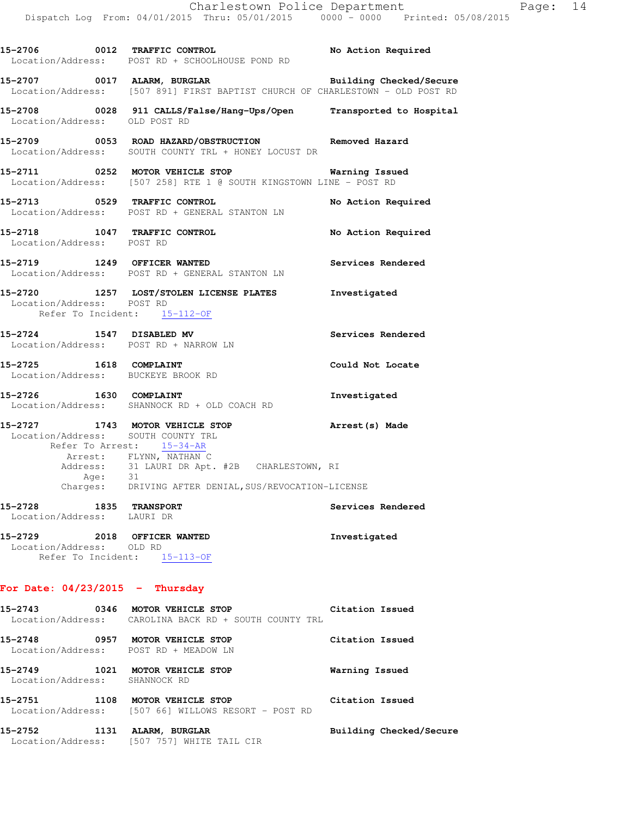|                                                                 | 15-2707 0017 ALARM, BURGLAR <b>Example 19 and Solution Checked/Secure</b><br>Location/Address: [507 891] FIRST BAPTIST CHURCH OF CHARLESTOWN - OLD POST RD |                    |
|-----------------------------------------------------------------|------------------------------------------------------------------------------------------------------------------------------------------------------------|--------------------|
|                                                                 | 15-2708 0028 911 CALLS/False/Hang-Ups/Open Transported to Hospital Location/Address: OLD POST RD                                                           |                    |
|                                                                 | 15-2709 0053 ROAD HAZARD/OBSTRUCTION Removed Hazard<br>Location/Address: SOUTH COUNTY TRL + HONEY LOCUST DR                                                |                    |
|                                                                 | 15-2711 0252 MOTOR VEHICLE STOP Warning Issued<br>Location/Address: [507 258] RTE 1 @ SOUTH KINGSTOWN LINE - POST RD                                       |                    |
|                                                                 | 15-2713 0529 TRAFFIC CONTROL No Action Required<br>Location/Address: POST RD + GENERAL STANTON LN                                                          |                    |
| Location/Address: POST RD                                       | 15-2718 1047 TRAFFIC CONTROL                                                                                                                               | No Action Required |
|                                                                 | 15-2719 1249 OFFICER WANTED<br>Location/Address: POST RD + GENERAL STANTON LN                                                                              | Services Rendered  |
| Location/Address: POST RD<br>Refer To Incident: 15-112-OF       | 15-2720 1257 LOST/STOLEN LICENSE PLATES 1nvestigated                                                                                                       |                    |
|                                                                 | 15-2724 1547 DISABLED MV<br>Location/Address: POST RD + NARROW LN                                                                                          | Services Rendered  |
| 15-2725 1618 COMPLAINT<br>Location/Address: BUCKEYE BROOK RD    |                                                                                                                                                            | Could Not Locate   |
|                                                                 | 15-2726 1630 COMPLAINT<br>Location/Address: SHANNOCK RD + OLD COACH RD                                                                                     | Investigated       |
| Location/Address: SOUTH COUNTY TRL<br>Refer To Arrest: 15-34-AR | 15-2727 1743 MOTOR VEHICLE STOP 15-2727                                                                                                                    |                    |
|                                                                 | Arrest: FLYNN, NATHAN C<br>Address: 31 LAURI DR Apt. #2B CHARLESTOWN, RI<br>Age: 31<br>Charges: DRIVING AFTER DENIAL, SUS/REVOCATION-LICENSE               |                    |
|                                                                 |                                                                                                                                                            |                    |
| 15-2728 1835 TRANSPORT<br>Location/Address: LAURI DR            |                                                                                                                                                            | Services Rendered  |
| Location/Address: OLD RD                                        | 15-2729 2018 OFFICER WANTED<br>Refer To Incident: 15-113-OF                                                                                                | Investigated       |
| For Date: $04/23/2015$ - Thursday                               |                                                                                                                                                            |                    |
|                                                                 | 15-2743 0346 MOTOR VEHICLE STOP<br>Location/Address: CAROLINA BACK RD + SOUTH COUNTY TRL                                                                   | Citation Issued    |
|                                                                 | 15-2748 0957 MOTOR VEHICLE STOP                                                                                                                            | Citation Issued    |

**15-2706 0012 TRAFFIC CONTROL No Action Required** 

Location/Address: POST RD + SCHOOLHOUSE POND RD

 Location/Address: POST RD + MEADOW LN **15-2749 1021 MOTOR VEHICLE STOP Warning Issued**  Location/Address: SHANNOCK RD **15-2751 1108 MOTOR VEHICLE STOP Citation Issued**  Location/Address: [507 66] WILLOWS RESORT - POST RD

**15-2752 1131 ALARM, BURGLAR Building Checked/Secure**  Location/Address: [507 757] WHITE TAIL CIR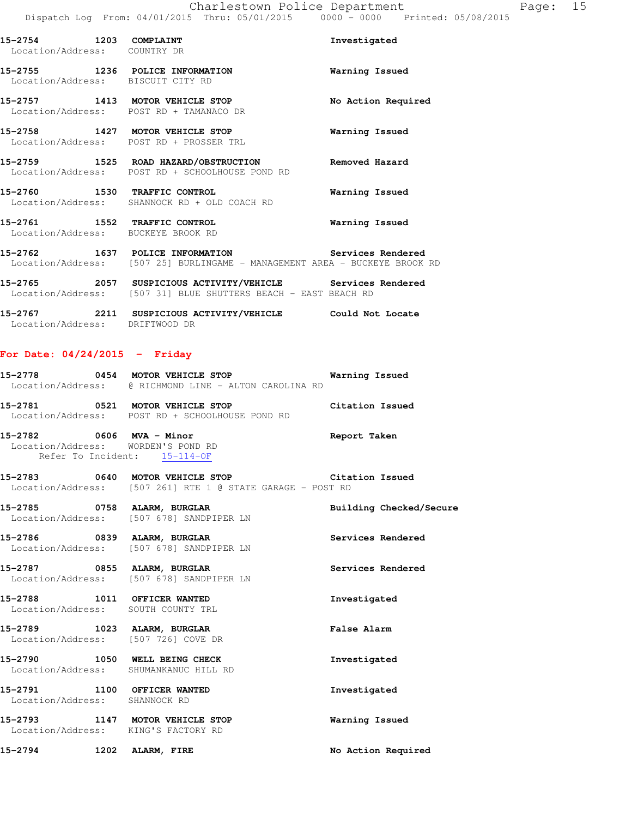| 15-2754 1203 COMPLAINT<br>Location/Address: COUNTRY DR |                                                                                                                                 | Investigated          |
|--------------------------------------------------------|---------------------------------------------------------------------------------------------------------------------------------|-----------------------|
|                                                        | 15-2755 1236 POLICE INFORMATION<br>Location/Address: BISCUIT CITY RD                                                            | Warning Issued        |
|                                                        | 15-2757 1413 MOTOR VEHICLE STOP<br>Location/Address: POST RD + TAMANACO DR                                                      | No Action Required    |
|                                                        | 15-2758 1427 MOTOR VEHICLE STOP<br>Location/Address: POST RD + PROSSER TRL                                                      | <b>Warning Issued</b> |
|                                                        | 15-2759 1525 ROAD HAZARD/OBSTRUCTION Removed Hazard<br>Location/Address: POST RD + SCHOOLHOUSE POND RD                          |                       |
|                                                        | 15-2760 1530 TRAFFIC CONTROL 15-2760 Warning Issued<br>Location/Address: SHANNOCK RD + OLD COACH RD                             |                       |
| Location/Address: BUCKEYE BROOK RD                     | 15-2761 1552 TRAFFIC CONTROL                                                                                                    | Warning Issued        |
|                                                        | 15-2762 1637 POLICE INFORMATION Services Rendered<br>Location/Address: [507 25] BURLINGAME - MANAGEMENT AREA - BUCKEYE BROOK RD |                       |
|                                                        | 15-2765 2057 SUSPICIOUS ACTIVITY/VEHICLE Services Rendered<br>Location/Address: [507 31] BLUE SHUTTERS BEACH - EAST BEACH RD    |                       |

**15-2767 2211 SUSPICIOUS ACTIVITY/VEHICLE Could Not Locate**  Location/Address: DRIFTWOOD DR

**For Date: 04/24/2015 - Friday**

| 15–2778 | 0454 | MOTOR VEHICLE STOP                                                    | Warning Issued  |
|---------|------|-----------------------------------------------------------------------|-----------------|
|         |      | Location/Address: @ RICHMOND LINE - ALTON CAROLINA RD                 |                 |
| 15-2781 | 0521 | MOTOR VEHICLE STOP<br>Location/Address: POST RD + SCHOOLHOUSE POND RD | Citation Issued |
| 15–2782 | 0606 | MVA - Minor<br>Location/Address: WORDEN'S POND RD                     | Report Taken    |

Refer To Incident: 15-114-OF **15-2783 0640 MOTOR VEHICLE STOP Citation Issued**  Location/Address: [507 261] RTE 1 @ STATE GARAGE - POST RD

**15-2785 0758 ALARM, BURGLAR Building Checked/Secure**  Location/Address: [507 678] SANDPIPER LN

**15-2786 0839 ALARM, BURGLAR Services Rendered**  Location/Address: [507 678] SANDPIPER LN

**15-2787 0855 ALARM, BURGLAR Services Rendered**  Location/Address: [507 678] SANDPIPER LN

**15-2788 1011 OFFICER WANTED Investigated**  Location/Address: SOUTH COUNTY TRL

**15-2789 1023 ALARM, BURGLAR False Alarm**  Location/Address: [507 726] COVE DR

**15-2790 1050 WELL BEING CHECK Investigated**  Location/Address: SHUMANKANUC HILL RD

**15-2791 1100 OFFICER WANTED Investigated**  Location/Address: SHANNOCK RD

**15-2793 1147 MOTOR VEHICLE STOP Warning Issued**  Location/Address: KING'S FACTORY RD

**15-2794 1202 ALARM, FIRE No Action Required**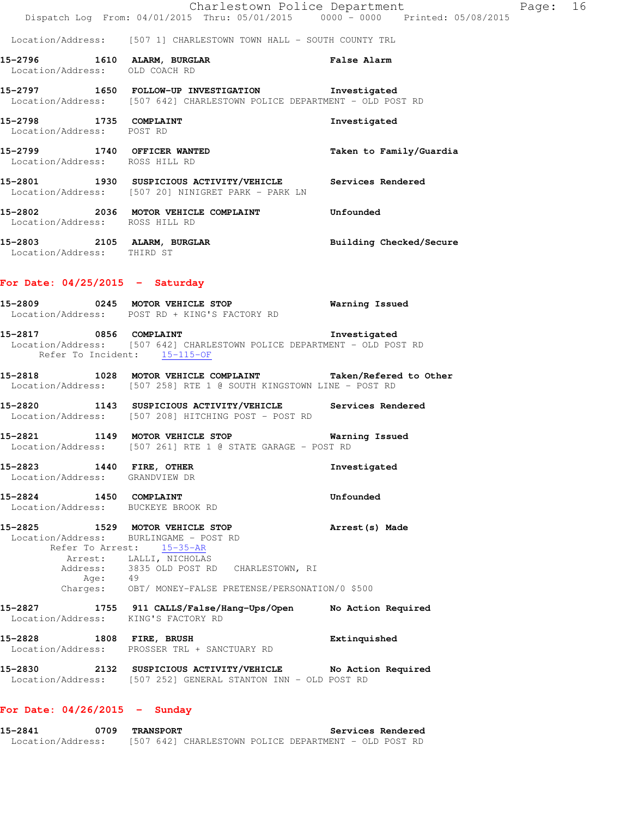|                                                                           | Dispatch Log From: 04/01/2015 Thru: 05/01/2015 0000 - 0000 Printed: 05/08/2015                                                                                         | Charlestown Police Department | Page: 16 |  |
|---------------------------------------------------------------------------|------------------------------------------------------------------------------------------------------------------------------------------------------------------------|-------------------------------|----------|--|
|                                                                           | Location/Address: [507 1] CHARLESTOWN TOWN HALL - SOUTH COUNTY TRL                                                                                                     |                               |          |  |
|                                                                           | 15-2796 1610 ALARM, BURGLAR False Alarm Location/Address: OLD COACH RD                                                                                                 |                               |          |  |
|                                                                           | 15-2797 1650 FOLLOW-UP INVESTIGATION Investigated<br>Location/Address: [507 642] CHARLESTOWN POLICE DEPARTMENT - OLD POST RD                                           |                               |          |  |
| 15-2798 1735 COMPLAINT<br>Location/Address: POST RD                       |                                                                                                                                                                        | Investigated                  |          |  |
| Location/Address: ROSS HILL RD                                            | 15-2799 1740 OFFICER WANTED                                                                                                                                            | Taken to Family/Guardia       |          |  |
|                                                                           | 15-2801 1930 SUSPICIOUS ACTIVITY/VEHICLE Services Rendered<br>Location/Address: [507 20] NINIGRET PARK - PARK LN                                                       |                               |          |  |
| Location/Address: ROSS HILL RD                                            | 15-2802 2036 MOTOR VEHICLE COMPLAINT Unfounded                                                                                                                         |                               |          |  |
| Location/Address: THIRD ST                                                | 15-2803 2105 ALARM, BURGLAR BURGLAR Building Checked/Secure                                                                                                            |                               |          |  |
| For Date: $04/25/2015$ - Saturday                                         |                                                                                                                                                                        |                               |          |  |
|                                                                           | 15-2809 0245 MOTOR VEHICLE STOP 6 Warning Issued<br>Location/Address: POST RD + KING'S FACTORY RD                                                                      |                               |          |  |
| Refer To Incident: 15-115-OF                                              | 15-2817 0856 COMPLAINT 15-2817 Investigated<br>Location/Address: [507 642] CHARLESTOWN POLICE DEPARTMENT - OLD POST RD                                                 |                               |          |  |
|                                                                           | 15-2818 1028 MOTOR VEHICLE COMPLAINT Taken/Refered to Other<br>Location/Address: [507 258] RTE 1 @ SOUTH KINGSTOWN LINE - POST RD                                      |                               |          |  |
|                                                                           | 15-2820 1143 SUSPICIOUS ACTIVITY/VEHICLE Services Rendered<br>Location/Address: [507 208] HITCHING POST - POST RD                                                      |                               |          |  |
|                                                                           | 15-2821 1149 MOTOR VEHICLE STOP 6 Warning Issued<br>Location/Address: [507 261] RTE 1 @ STATE GARAGE - POST RD                                                         |                               |          |  |
| 15-2823<br>Location/Address: GRANDVIEW DR                                 | 1440 FIRE, OTHER                                                                                                                                                       | Investigated                  |          |  |
| 1450 COMPLAINT<br>15-2824<br>Location/Address: BUCKEYE BROOK RD           |                                                                                                                                                                        | Unfounded                     |          |  |
| 15-2825 1529 MOTOR VEHICLE STOP<br>Location/Address: BURLINGAME - POST RD | Refer To Arrest: 15-35-AR<br>Arrest: LALLI, NICHOLAS<br>Address: 3835 OLD POST RD CHARLESTOWN, RI<br>Age: 49<br>Charges: OBT/ MONEY-FALSE PRETENSE/PERSONATION/0 \$500 | Arrest (s) Made               |          |  |
| 15-2827<br>Location/Address: KING'S FACTORY RD                            | 1755 911 CALLS/False/Hang-Ups/Open                                                                                                                                     | No Action Required            |          |  |
| 15-2828 1808 FIRE, BRUSH                                                  | Location/Address: PROSSER TRL + SANCTUARY RD                                                                                                                           | Extinquished                  |          |  |
| 15-2830                                                                   | 2132 SUSPICIOUS ACTIVITY/VEHICLE No Action Required<br>Location/Address: [507 252] GENERAL STANTON INN - OLD POST RD                                                   |                               |          |  |
| For Date: $04/26/2015$ - Sunday                                           |                                                                                                                                                                        |                               |          |  |

**15-2841 0709 TRANSPORT Services Rendered**  Location/Address: [507 642] CHARLESTOWN POLICE DEPARTMENT - OLD POST RD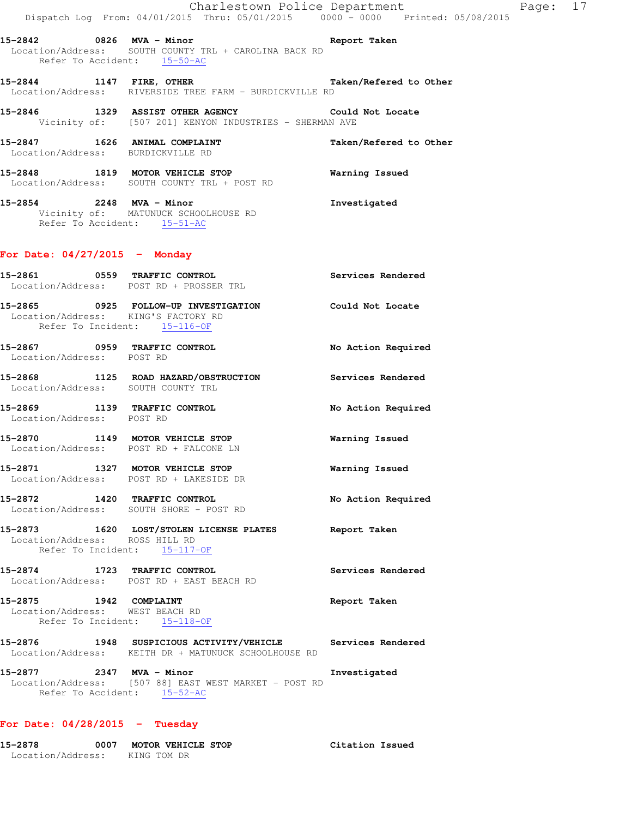|                                                                     | Dispatch Log From: 04/01/2015 Thru: 05/01/2015 0000 - 0000 Printed: 05/08/2015                              | Charlestown Police Department | Page: 17 |  |
|---------------------------------------------------------------------|-------------------------------------------------------------------------------------------------------------|-------------------------------|----------|--|
| Refer To Accident: 15-50-AC                                         | 15-2842 0826 MVA - Minor Controller Report Taken<br>Location/Address: SOUTH COUNTY TRL + CAROLINA BACK RD   |                               |          |  |
|                                                                     | 15-2844 1147 FIRE, OTHER Taken/Refered to Other<br>Location/Address: RIVERSIDE TREE FARM - BURDICKVILLE RD  |                               |          |  |
|                                                                     | 15-2846 1329 ASSIST OTHER AGENCY Could Not Locate<br>Vicinity of: [507 201] KENYON INDUSTRIES - SHERMAN AVE |                               |          |  |
| 15-2847 1626 ANIMAL COMPLAINT<br>Location/Address: BURDICKVILLE RD  |                                                                                                             | Taken/Refered to Other        |          |  |
|                                                                     | 15-2848 1819 MOTOR VEHICLE STOP<br>Location/Address: SOUTH COUNTY TRL + POST RD                             | Warning Issued                |          |  |
| Refer To Accident: 15-51-AC                                         | 15-2854 2248 MVA - Minor<br>Vicinity of: MATUNUCK SCHOOLHOUSE RD                                            | Investigated                  |          |  |
| For Date: $04/27/2015$ - Monday                                     |                                                                                                             |                               |          |  |
| Location/Address: POST RD + PROSSER TRL                             | 15-2861 0559 TRAFFIC CONTROL                                                                                | Services Rendered             |          |  |
| Location/Address: KING'S FACTORY RD<br>Refer To Incident: 15-116-OF | 15-2865 0925 FOLLOW-UP INVESTIGATION Could Not Locate                                                       |                               |          |  |
| Location/Address: POST RD                                           | 15-2867 0959 TRAFFIC CONTROL                                                                                | No Action Required            |          |  |
| Location/Address: SOUTH COUNTY TRL                                  | 15-2868 1125 ROAD HAZARD/OBSTRUCTION Services Rendered                                                      |                               |          |  |
|                                                                     | 15-2869 1139 TRAFFIC CONTROL<br>Location/Address: POST RD                                                   | No Action Required            |          |  |
|                                                                     | 15-2870 1149 MOTOR VEHICLE STOP<br>Location/Address: POST RD + FALCONE LN                                   | Warning Issued                |          |  |
|                                                                     | 15-2871 1327 MOTOR VEHICLE STOP<br>Location/Address: POST RD + LAKESIDE DR                                  | Warning Issued                |          |  |
| 15-2872 1420 TRAFFIC CONTROL                                        | Location/Address: SOUTH SHORE - POST RD                                                                     | No Action Required            |          |  |
| Location/Address: ROSS HILL RD<br>Refer To Incident: 15-117-OF      | 15-2873 1620 LOST/STOLEN LICENSE PLATES                                                                     | Report Taken                  |          |  |
| 15-2874 1723 TRAFFIC CONTROL                                        | Location/Address: POST RD + EAST BEACH RD                                                                   | Services Rendered             |          |  |
| 15-2875 1942 COMPLAINT<br>Location/Address: WEST BEACH RD           | Refer To Incident: 15-118-OF                                                                                | Report Taken                  |          |  |
|                                                                     | 15-2876 1948 SUSPICIOUS ACTIVITY/VEHICLE<br>Location/Address: KEITH DR + MATUNUCK SCHOOLHOUSE RD            | Services Rendered             |          |  |

**15-2877 2347 MVA - Minor Investigated**  Location/Address: [507 88] EAST WEST MARKET - POST RD Refer To Accident: 15-52-AC

## **For Date: 04/28/2015 - Tuesday**

| 15-2878           | 0007 | MOTOR VEHICLE STOP | Citation Issued |  |
|-------------------|------|--------------------|-----------------|--|
| Location/Address: |      | KING TOM DR        |                 |  |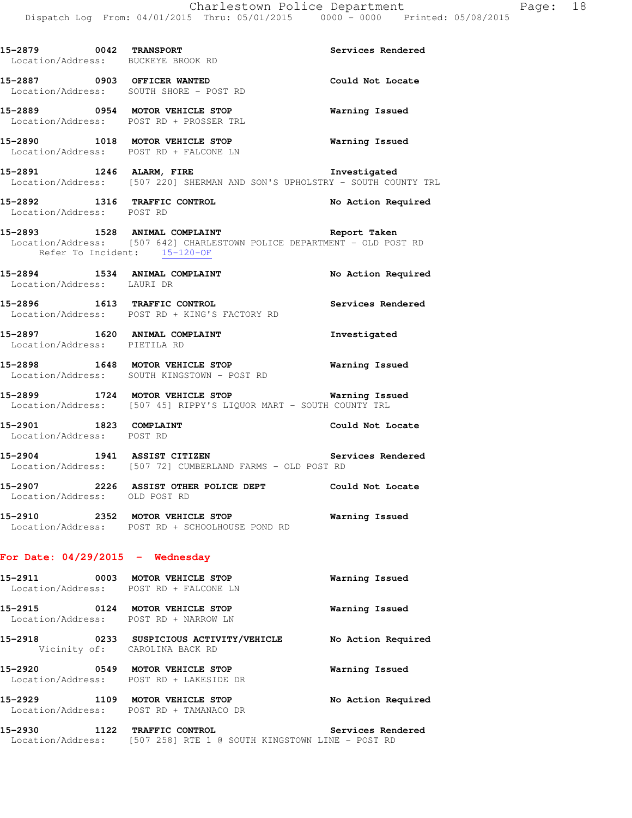| 15-2879 0042 TRANSPORT             | Location/Address: BUCKEYE BROOK RD                                                                                            | Services Rendered     |
|------------------------------------|-------------------------------------------------------------------------------------------------------------------------------|-----------------------|
|                                    | 15-2887 0903 OFFICER WANTED<br>Location/Address: SOUTH SHORE - POST RD                                                        | Could Not Locate      |
|                                    | 15-2889 0954 MOTOR VEHICLE STOP<br>Location/Address: POST RD + PROSSER TRL                                                    | Warning Issued        |
|                                    | 15-2890 1018 MOTOR VEHICLE STOP <b>WATER</b> Warning Issued<br>Location/Address: POST RD + FALCONE LN                         |                       |
| 15-2891 1246 ALARM, FIRE           | Location/Address: [507 220] SHERMAN AND SON'S UPHOLSTRY - SOUTH COUNTY TRL                                                    | Investigated          |
| Location/Address: POST RD          | 15-2892 1316 TRAFFIC CONTROL                                                                                                  | No Action Required    |
| Refer To Incident: 15-120-OF       | 15-2893 1528 ANIMAL COMPLAINT 15-2893 Report Taken<br>Location/Address: [507 642] CHARLESTOWN POLICE DEPARTMENT - OLD POST RD |                       |
| Location/Address: LAURI DR         | 15-2894 1534 ANIMAL COMPLAINT                                                                                                 | No Action Required    |
|                                    | 15-2896 1613 TRAFFIC CONTROL<br>Location/Address: POST RD + KING'S FACTORY RD                                                 | Services Rendered     |
| Location/Address: PIETILA RD       | 15-2897 1620 ANIMAL COMPLAINT                                                                                                 | Investigated          |
|                                    | 15-2898 1648 MOTOR VEHICLE STOP<br>Location/Address: SOUTH KINGSTOWN - POST RD                                                | <b>Warning Issued</b> |
|                                    | 15-2899 1724 MOTOR VEHICLE STOP 6 Warning Issued<br>Location/Address: [507 45] RIPPY'S LIQUOR MART - SOUTH COUNTY TRL         |                       |
| Location/Address: POST RD          | 15-2901 1823 COMPLAINT                                                                                                        | Could Not Locate      |
|                                    | 15-2904 1941 ASSIST CITIZEN<br>Location/Address: [507 72] CUMBERLAND FARMS - OLD POST RD                                      | Services Rendered     |
| Location/Address: OLD POST RD      | 15-2907 2226 ASSIST OTHER POLICE DEPT Could Not Locate                                                                        |                       |
|                                    | 15-2910 2352 MOTOR VEHICLE STOP<br>Location/Address: POST RD + SCHOOLHOUSE POND RD                                            | Warning Issued        |
| For Date: $04/29/2015$ - Wednesday |                                                                                                                               |                       |
|                                    | 15-2911 0003 MOTOR VEHICLE STOP<br>Location/Address: POST RD + FALCONE LN                                                     | Warning Issued        |
|                                    | 15-2915 0124 MOTOR VEHICLE STOP<br>Location/Address: POST RD + NARROW LN                                                      | Warning Issued        |
|                                    | 15-2918 0233 SUSPICIOUS ACTIVITY/VEHICLE<br>Vicinity of: CAROLINA BACK RD                                                     | No Action Required    |
|                                    | 15-2920 0549 MOTOR VEHICLE STOP<br>Location/Address: POST RD + LAKESIDE DR                                                    | Warning Issued        |

**15-2929 1109 MOTOR VEHICLE STOP No Action Required**  Location/Address: POST RD + TAMANACO DR

**15-2930 1122 TRAFFIC CONTROL Services Rendered**  Location/Address: [507 258] RTE 1 @ SOUTH KINGSTOWN LINE - POST RD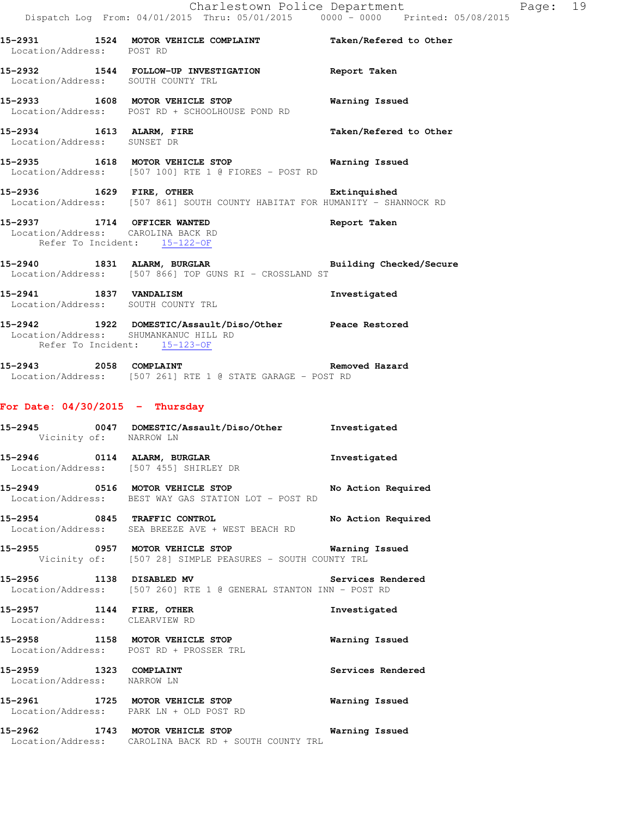|                                                                    | Dispatch Log From: 04/01/2015 Thru: 05/01/2015 0000 - 0000 Printed: 05/08/2015                                                   | Charlestown Police Department | Page: 19 |  |
|--------------------------------------------------------------------|----------------------------------------------------------------------------------------------------------------------------------|-------------------------------|----------|--|
| Location/Address: POST RD                                          | 15-2931 1524 MOTOR VEHICLE COMPLAINT Taken/Refered to Other                                                                      |                               |          |  |
| Location/Address: SOUTH COUNTY TRL                                 | 15-2932 1544 FOLLOW-UP INVESTIGATION Report Taken                                                                                |                               |          |  |
|                                                                    | 15-2933 1608 MOTOR VEHICLE STOP<br>Location/Address: POST RD + SCHOOLHOUSE POND RD                                               | Warning Issued                |          |  |
| Location/Address: SUNSET DR                                        | 15-2934 1613 ALARM, FIRE                                                                                                         | Taken/Refered to Other        |          |  |
|                                                                    | 15-2935 1618 MOTOR VEHICLE STOP 6 Warning Issued<br>Location/Address: [507 100] RTE 1 @ FIORES - POST RD                         |                               |          |  |
| 15-2936 1629 FIRE, OTHER                                           | Location/Address: [507 861] SOUTH COUNTY HABITAT FOR HUMANITY - SHANNOCK RD                                                      | Extinquished                  |          |  |
| Location/Address: CAROLINA BACK RD<br>Refer To Incident: 15-122-OF | 15-2937 1714 OFFICER WANTED                                                                                                      | Report Taken                  |          |  |
|                                                                    | <br> 15-2940 1831 ALARM, BURGLAR               Building Checked/Secure<br>Location/Address: [507 866] TOP GUNS RI - CROSSLAND ST |                               |          |  |
| Location/Address: SOUTH COUNTY TRL                                 | 15-2941 1837 VANDALISM                                                                                                           | Investigated                  |          |  |
| Refer To Incident: 15-123-OF                                       | 15-2942 1922 DOMESTIC/Assault/Diso/Other Peace Restored<br>Location/Address: SHUMANKANUC HILL RD                                 |                               |          |  |
|                                                                    | 15-2943 2058 COMPLAINT<br>Location/Address: [507 261] RTE 1 @ STATE GARAGE - POST RD                                             | Removed Hazard                |          |  |
| For Date: $04/30/2015$ - Thursday                                  |                                                                                                                                  |                               |          |  |
| Vicinity of: NARROW LN                                             | 15-2945 0047 DOMESTIC/Assault/Diso/Other Investigated                                                                            |                               |          |  |
| 15-2946 0114 ALARM, BURGLAR                                        | Location/Address: [507 455] SHIRLEY DR                                                                                           | Investigated                  |          |  |
|                                                                    | 15-2949 0516 MOTOR VEHICLE STOP No Action Required<br>Location/Address: BEST WAY GAS STATION LOT - POST RD                       |                               |          |  |
|                                                                    | 15-2954 0845 TRAFFIC CONTROL<br>Location/Address: SEA BREEZE AVE + WEST BEACH RD                                                 | No Action Required            |          |  |
|                                                                    | 15-2955 0957 MOTOR VEHICLE STOP <b>WATILLE STOP</b> Warning Issued<br>Vicinity of: [507 28] SIMPLE PEASURES - SOUTH COUNTY TRL   |                               |          |  |
|                                                                    | 15-2956 1138 DISABLED MV Services Rendered<br>Location/Address: [507 260] RTE 1 @ GENERAL STANTON INN - POST RD                  |                               |          |  |
| Location/Address: CLEARVIEW RD                                     | 15-2957 1144 FIRE, OTHER                                                                                                         | Investigated                  |          |  |
|                                                                    | 15-2958 1158 MOTOR VEHICLE STOP<br>Location/Address: POST RD + PROSSER TRL                                                       | Warning Issued                |          |  |
| 15-2959 1323 COMPLAINT<br>Location/Address: NARROW LN              |                                                                                                                                  | Services Rendered             |          |  |
|                                                                    | 15-2961 1725 MOTOR VEHICLE STOP<br>Location/Address: PARK LN + OLD POST RD                                                       | Warning Issued                |          |  |
|                                                                    | 15-2962 1743 MOTOR VEHICLE STOP 6 Warning Issued<br>Location/Address: CAROLINA BACK RD + SOUTH COUNTY TRL                        |                               |          |  |